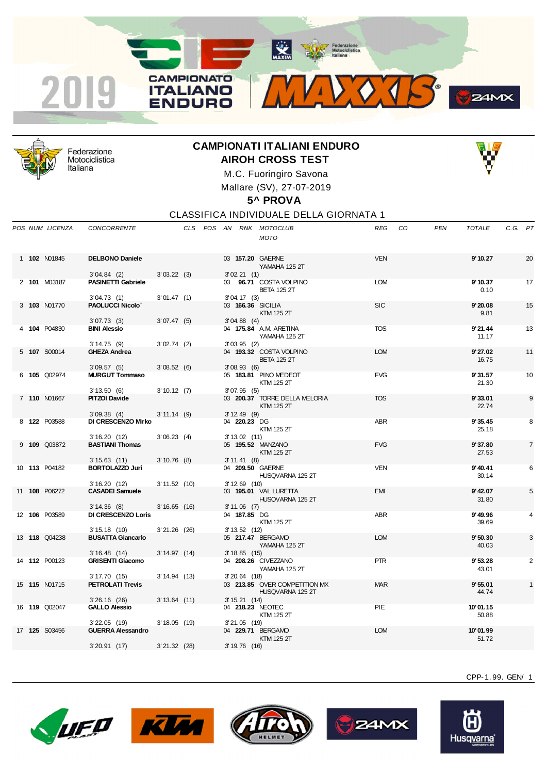



Federazione Motociclistica Italiana

## **CAMPIONATI ITALIANI ENDURO AIROH CROSS TEST**



M.C. Fuoringiro Savona Mallare (SV), 27-07-2019

## **5^ PROVA**

CLASSIFICA INDIVIDUALE DELLA GIORNATA 1

|  | POS NUM LICENZA      | CONCORRENTE                                   |                |  |                               | CLS POS AN RNK MOTOCLUB<br><b>MOTO</b>            | <b>REG</b> | CO | <b>PEN</b> | <b>TOTALE</b>     | C.G. PT |                |
|--|----------------------|-----------------------------------------------|----------------|--|-------------------------------|---------------------------------------------------|------------|----|------------|-------------------|---------|----------------|
|  | 1 102 N01845         | <b>DELBONO Daniele</b><br>3'04.84(2)          | 3'03.22(3)     |  | 3'02.21(1)                    | 03 157.20 GAERNE<br>YAMAHA 125 2T                 | <b>VEN</b> |    |            | 9'10.27           |         | 20             |
|  | 2 101 M03187         | <b>PASINETTI Gabriele</b><br>3'04.73(1)       | 3'01.47(1)     |  | 3'04.17(3)                    | 03 96.71 COSTA VOLPINO<br><b>BETA 125 2T</b>      | <b>LOM</b> |    |            | 9'10.37<br>0.10   |         | 17             |
|  | 3 103 N01770         | <b>PAOLUCCI Nicolo'</b><br>3'07.73(3)         | 3'07.47(5)     |  | 3'04.88(4)                    | 03 166.36 SICILIA<br>KTM 125 2T                   | <b>SIC</b> |    |            | 9'20.08<br>9.81   |         | 15             |
|  | 4 104 P04830         | <b>BINI Alessio</b><br>3'14.75(9)             | $3'02.74$ (2)  |  | $3'03.95$ (2)                 | 04 175.84 A.M. ARETINA<br>YAMAHA 125 2T           | <b>TOS</b> |    |            | 9'21.44<br>11.17  |         | 13             |
|  | 5 107 S00014         | <b>GHEZA Andrea</b><br>3'09.57(5)             | 3'08.52(6)     |  | 3'08.93(6)                    | 04 193.32 COSTA VOLPINO<br><b>BETA 125 2T</b>     | <b>LOM</b> |    |            | 9'27.02<br>16.75  |         | 11             |
|  | 6 105 Q02974         | <b>MURGUT Tommaso</b><br>3'13.50(6)           | 3'10.12(7)     |  | 3'07.95(5)                    | 05 183.81 PINO MEDEOT<br>KTM 125 2T               | <b>FVG</b> |    |            | 9'31.57<br>21.30  |         | 10             |
|  | 7 110 N01667         | <b>PITZOI Davide</b>                          |                |  |                               | 03 200.37 TORRE DELLA MELORIA<br>KTM 125 2T       | <b>TOS</b> |    |            | 9'33.01<br>22.74  |         | 9              |
|  | 8 122 P03588         | 3'09.38(4)<br><b>DI CRESCENZO Mirko</b>       | 3' 11.14 (9)   |  | $3'12.49$ (9)<br>04 220.23 DG | KTM 125 2T                                        | <b>ABR</b> |    |            | 9'35.45<br>25.18  |         | 8              |
|  | 9 109 Q03872         | 3'16.20(12)<br><b>BASTIANI Thomas</b>         | 3'06.23(4)     |  | $3'13.02$ (11)                | 05 195.52 MANZANO<br>KTM 125 2T                   | <b>FVG</b> |    |            | 9'37.80<br>27.53  |         | $\overline{7}$ |
|  | 10 113 P04182        | 3'15.63(11)<br><b>BORTOLAZZO Juri</b>         | $3'10.76$ (8)  |  | 3'11.41(8)                    | 04 209.50 GAERNE<br>HUSQVARNA 125 2T              | <b>VEN</b> |    |            | 9' 40.41<br>30.14 |         | 6              |
|  | 11 108 P06272        | 3'16.20(12)<br><b>CASADEI Samuele</b>         | 3' 11.52 (10)  |  | $3'12.69$ (10)                | 03 195.01 VAL LURETTA<br>HUSQVARNA 125 2T         | <b>EMI</b> |    |            | 9' 42.07<br>31.80 |         | 5              |
|  | 12 106 P03589        | 3'14.36(8)<br><b>DI CRESCENZO Loris</b>       | $3'16.65$ (16) |  | $3'11.06$ (7)<br>04 187.85 DG | KTM 125 2T                                        | ABR        |    |            | 9' 49.96<br>39.69 |         | 4              |
|  | 13 118 Q04238        | 3'15.18(10)<br><b>BUSATTA Giancarlo</b>       | $3'21.26$ (26) |  | $3' 13.52$ (12)               | 05 217.47 BERGAMO<br>YAMAHA 125 2T                | <b>LOM</b> |    |            | 9'50.30<br>40.03  |         | 3              |
|  | 14 112 P00123        | 3'16.48(14)<br><b>GRISENTI Giacomo</b>        | 3' 14.97 (14)  |  | $3'18.85$ (15)                | 04 208.26 CIVEZZANO<br>YAMAHA 125 2T              | <b>PTR</b> |    |            | 9'53.28<br>43.01  |         | $\overline{2}$ |
|  | 15 <b>115</b> N01715 | 3'17.70(15)<br><b>PETROLATI Trevis</b>        | 3' 14.94 (13)  |  | $3'20.64$ (18)                | 03 213.85 OVER COMPETITION MX<br>HUSQVARNA 125 2T | <b>MAR</b> |    |            | 9'55.01<br>44.74  |         | $\mathbf{1}$   |
|  | 16 <b>119</b> Q02047 | $3'26.16$ (26)<br><b>GALLO Alessio</b>        | $3'13.64$ (11) |  | 3' 15.21 (14)                 | 04 218.23 NEOTEC<br>KTM 125 2T                    | PIE        |    |            | 10'01.15<br>50.88 |         |                |
|  | 17 <b>125</b> S03456 | $3'$ 22.05 $(19)$<br><b>GUERRA Alessandro</b> | 3' 18.05 (19)  |  | $3'21.05$ (19)                | 04 229.71 BERGAMO<br>KTM 125 2T                   | <b>LOM</b> |    |            | 10'01.99<br>51.72 |         |                |
|  |                      | 3'20.91(17)                                   | $3'21.32$ (28) |  | 3' 19.76 (16)                 |                                                   |            |    |            |                   |         |                |









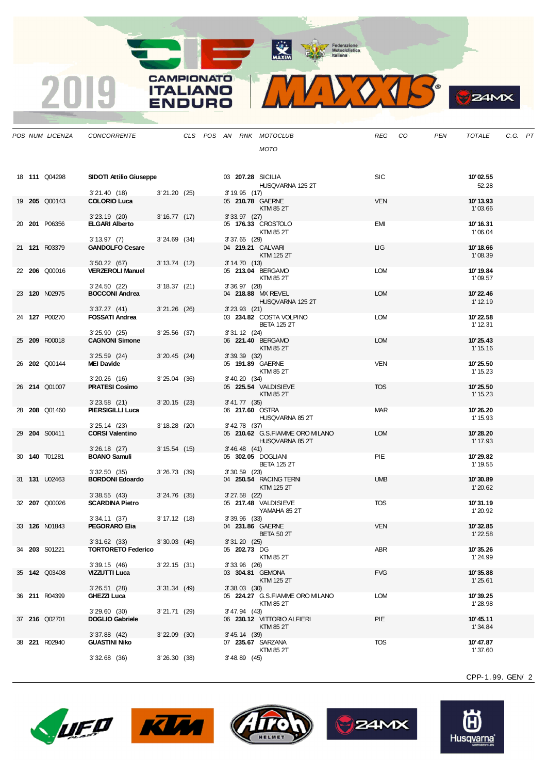MAXIM Pederazione

**CAMPIONATO** 

**ITALIANO** 

**ENDURO** 

2019



 $\mathcal{G}$ **24MX** 

|  | POS NUM LICENZA      | <b>CONCORRENTE</b>                     |                   |  |                   | CLS POS AN RNK MOTOCLUB               | REG        | CO | <b>PEN</b> | <b>TOTALE</b>        | C.G. PT |  |
|--|----------------------|----------------------------------------|-------------------|--|-------------------|---------------------------------------|------------|----|------------|----------------------|---------|--|
|  |                      |                                        |                   |  |                   | <b>MOTO</b>                           |            |    |            |                      |         |  |
|  |                      |                                        |                   |  |                   |                                       |            |    |            |                      |         |  |
|  |                      |                                        |                   |  |                   |                                       |            |    |            |                      |         |  |
|  | 18 <b>111</b> Q04298 | SIDOTI Attilio Giuseppe                |                   |  |                   | 03 207.28 SICILIA<br>HUSQVARNA 125 2T | <b>SIC</b> |    |            | 10'02.55<br>52.28    |         |  |
|  |                      | 3'21.40(18)                            | 3'21.20(25)       |  | $3'19.95$ (17)    |                                       |            |    |            |                      |         |  |
|  | 19 205 Q00143        | <b>COLORIO Luca</b>                    |                   |  |                   | 05 210.78 GAERNE<br>KTM 85 2T         | <b>VEN</b> |    |            | 10'13.93<br>1'03.66  |         |  |
|  |                      | $3'23.19$ (20)                         | 3'16.77(17)       |  | $3'33.97$ (27)    |                                       |            |    |            |                      |         |  |
|  | 20 201 P06356        | <b>ELGARI Alberto</b>                  |                   |  |                   | 05 176.33 CROSTOLO                    | EMI        |    |            | 10'16.31             |         |  |
|  |                      | 3' 13.97 (7)                           | $3'24.69$ (34)    |  | $3'37.65$ (29)    | KTM 85 2T                             |            |    |            | 1'06.04              |         |  |
|  | 21 121 R03379        | <b>GANDOLFO Cesare</b>                 |                   |  |                   | 04 219.21 CALVARI                     | LIG.       |    |            | 10'18.66             |         |  |
|  |                      | 3'50.22(67)                            | 3' 13.74 (12)     |  | 3'14.70(13)       | KTM 125 2T                            |            |    |            | 1'08.39              |         |  |
|  | 22 206 Q00016        | <b>VERZEROLI Manuel</b>                |                   |  |                   | 05 213.04 BERGAMO                     | <b>LOM</b> |    |            | 10'19.84             |         |  |
|  |                      |                                        |                   |  |                   | KTM 85 2T                             |            |    |            | 1'09.57              |         |  |
|  | 23 120 N02975        | 3'24.50(22)<br><b>BOCCONI Andrea</b>   | 3' 18.37 (21)     |  | $3'36.97$ (28)    | 04 218.88 MX REVEL                    | <b>LOM</b> |    |            | 10'22.46             |         |  |
|  |                      |                                        |                   |  |                   | HUSQVARNA 125 2T                      |            |    |            | 1'12.19              |         |  |
|  | 24 127 P00270        | 3'37.27(41)<br><b>FOSSATI Andrea</b>   | $3'21.26$ (26)    |  | $3'23.93$ (21)    | 03 234.82 COSTA VOLPINO               | LOM        |    |            | 10'22.58             |         |  |
|  |                      |                                        |                   |  |                   | <b>BETA 125 2T</b>                    |            |    |            | 1' 12.31             |         |  |
|  |                      | 3'25.90(25)                            | $3'25.56$ (37)    |  | $3'31.12$ (24)    |                                       |            |    |            |                      |         |  |
|  | 25 209 R00018        | <b>CAGNONI Simone</b>                  |                   |  |                   | 06 221.40 BERGAMO<br>KTM 85 2T        | <b>LOM</b> |    |            | 10'25.43<br>1' 15.16 |         |  |
|  |                      | $3'25.59$ (24)                         | $3'20.45$ (24)    |  | 3'39.39(32)       |                                       |            |    |            |                      |         |  |
|  | 26 202 Q00144        | <b>MEI Davide</b>                      |                   |  |                   | 05 191.89 GAERNE<br>KTM 85 2T         | VEN        |    |            | 10'25.50<br>1' 15.23 |         |  |
|  |                      | $3'20.26$ (16)                         | $3'25.04$ (36)    |  | 3' 40.20 (34)     |                                       |            |    |            |                      |         |  |
|  | 26 214 Q01007        | <b>PRATESI Cosimo</b>                  |                   |  |                   | 05 225.54 VALDISIEVE                  | <b>TOS</b> |    |            | 10'25.50             |         |  |
|  |                      | $3'23.58$ (21)                         | $3'20.15$ (23)    |  | $3' 41.77$ (35)   | KTM 85 2T                             |            |    |            | 1' 15.23             |         |  |
|  | 28 208 Q01460        | <b>PIERSIGILLI Luca</b>                |                   |  |                   | 06 217.60 OSTRA                       | <b>MAR</b> |    |            | 10'26.20             |         |  |
|  |                      | $3'25.14$ (23)                         | $3' 18.28$ (20)   |  | $3'$ 42.78 $(37)$ | HUSQVARNA 85 2T                       |            |    |            | 1' 15.93             |         |  |
|  | 29 204 S00411        | <b>CORSI Valentino</b>                 |                   |  |                   | 05 210.62 G.S.FIAMME ORO MILANO       | <b>LOM</b> |    |            | 10'28.20             |         |  |
|  |                      |                                        |                   |  |                   | HUSQVARNA 85 2T                       |            |    |            | 1' 17.93             |         |  |
|  | 30 140 T01281        | $3'26.18$ (27)<br><b>BOANO Samuli</b>  | 3'15.54(15)       |  | 3'46.48(41)       | 05 302.05 DOGLIANI                    | PIE        |    |            | 10'29.82             |         |  |
|  |                      |                                        |                   |  |                   | <b>BETA 125 2T</b>                    |            |    |            | 1' 19.55             |         |  |
|  | 31 131 U02463        | 3'32.50(35)<br><b>BORDONI Edoardo</b>  | $3'26.73$ (39)    |  | $3'30.59$ (23)    | 04 250.54 RACING TERN                 | <b>UMB</b> |    |            | 10'30.89             |         |  |
|  |                      |                                        |                   |  |                   | KTM 125 2T                            |            |    |            | 1'20.62              |         |  |
|  |                      | 3'38.55(43)                            | $3'24.76$ (35)    |  | $3'27.58$ (22)    |                                       |            |    |            |                      |         |  |
|  | 32 207 Q00026        | <b>SCARDINA Pietro</b>                 |                   |  |                   | 05 217.48 VALDISIEVE<br>YAMAHA 85 2T  | <b>TOS</b> |    |            | 10'31.19<br>1'20.92  |         |  |
|  |                      | 3'34.11(37)                            | 3' 17.12 (18)     |  | $3'39.96$ (33)    |                                       |            |    |            |                      |         |  |
|  | 33 126 N01843        | <b>PEGORARO Elia</b>                   |                   |  |                   | 04 231.86 GAERNE<br><b>BETA 50 2T</b> | <b>VEN</b> |    |            | 10'32.85<br>1'22.58  |         |  |
|  |                      | 3'31.62(33)                            | $3'30.03$ (46)    |  | 3'31.20(25)       |                                       |            |    |            |                      |         |  |
|  | 34 203 S01221        | <b>TORTORETO Federico</b>              |                   |  | 05 202.73 DG      | KTM 85 2T                             | ABR        |    |            | 10'35.26<br>1'24.99  |         |  |
|  |                      | 3'39.15(46)                            | 3'22.15(31)       |  | $3'33.96$ (26)    |                                       |            |    |            |                      |         |  |
|  | 35 142 Q03408        | VIZZUTTI Luca                          |                   |  |                   | 03 304.81 GEMONA                      | <b>FVG</b> |    |            | 10'35.88             |         |  |
|  |                      | $3'26.51$ (28)                         | $3'31.34$ (49)    |  | $3'38.03$ (30)    | KTM 125 2T                            |            |    |            | 1'25.61              |         |  |
|  | 36 211 R04399        | GHEZZI Luca                            |                   |  |                   | 05 224.27 G.S.FIAMME ORO MILANO       | <b>LOM</b> |    |            | 10'39.25             |         |  |
|  |                      | 3'29.60(30)                            | 3'21.71(29)       |  | 3' 47.94 (43)     | KTM 85 2T                             |            |    |            | 1'28.98              |         |  |
|  | 37 216 Q02701        | <b>DOGLIO Gabriele</b>                 |                   |  |                   | 06 230.12 VITTORIO ALFIERI            | PIE        |    |            | 10'45.11             |         |  |
|  |                      |                                        |                   |  |                   | KTM 85 2T                             |            |    |            | 1'34.84              |         |  |
|  | 38 <b>221 R02940</b> | $3'37.88$ (42)<br><b>GUASTINI Niko</b> | $3'$ 22.09 $(30)$ |  | 3' 45.14 (39)     | 07 235.67 SARZANA                     | <b>TOS</b> |    |            | 10'47.87             |         |  |
|  |                      |                                        |                   |  |                   | KTM 85 2T                             |            |    |            | 1'37.60              |         |  |
|  |                      | $3'32.68$ (36)                         | 3'26.30(38)       |  | $3' 48.89$ (45)   |                                       |            |    |            |                      |         |  |
|  |                      |                                        |                   |  |                   |                                       |            |    |            |                      |         |  |









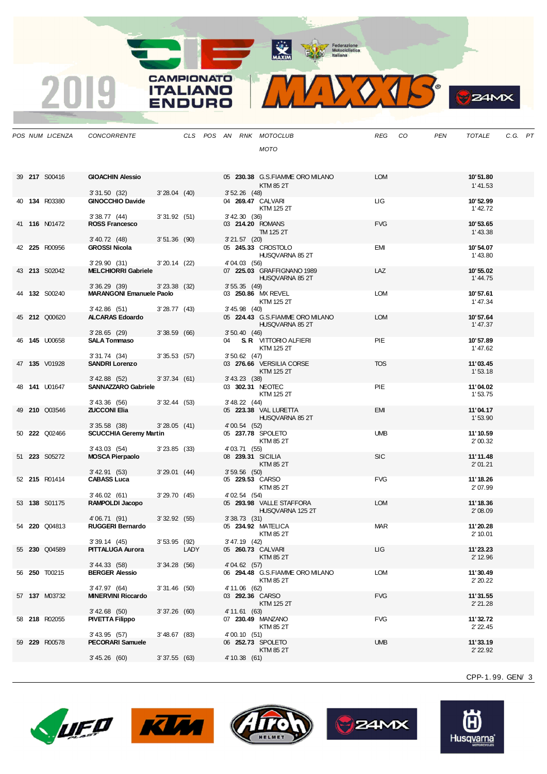MAXIM Pederazione

CAMPIONATO

**ITALIANO** 

**ENDURO** 

2019



**B**<sub>z</sub>amx

|  | POS NUM LICENZA      | CONCORRENTE                                    |                |      |  |                   | CLS POS AN RNK MOTOCLUB                | REG        | CO | PEN | TOTALE               | C.G. PT |  |
|--|----------------------|------------------------------------------------|----------------|------|--|-------------------|----------------------------------------|------------|----|-----|----------------------|---------|--|
|  |                      |                                                |                |      |  |                   | <b>MOTO</b>                            |            |    |     |                      |         |  |
|  |                      |                                                |                |      |  |                   |                                        |            |    |     |                      |         |  |
|  | 39 217 S00416        | <b>GIOACHIN Alessio</b>                        |                |      |  |                   | 05 230.38 G.S.FIAMME ORO MILANO        | <b>LOM</b> |    |     | 10'51.80             |         |  |
|  |                      |                                                |                |      |  |                   | KTM 85 2T                              |            |    |     | 1' 41.53             |         |  |
|  |                      | 3'31.50(32)                                    | $3'28.04$ (40) |      |  | $3'52.26$ (48)    |                                        |            |    |     |                      |         |  |
|  | 40 134 R03380        | <b>GINOCCHIO Davide</b>                        |                |      |  |                   | 04 269.47 CALVARI<br>KTM 125 2T        | ЦG         |    |     | 10'52.99<br>1'42.72  |         |  |
|  |                      | 3'38.77(44)                                    | 3'31.92(51)    |      |  | $3'$ 42.30 $(36)$ |                                        |            |    |     |                      |         |  |
|  | 41 116 N01472        | <b>ROSS Francesco</b>                          |                |      |  |                   | 03 214.20 ROMANS                       | <b>FVG</b> |    |     | 10'53.65             |         |  |
|  |                      | 3' 40.72 (48)                                  | $3'51.36$ (90) |      |  | $3'21.57$ (20)    | TM 125 2T                              |            |    |     | 1' 43.38             |         |  |
|  | 42 225 R00956        | <b>GROSSI Nicola</b>                           |                |      |  |                   | 05 245.33 CROSTOLO                     | EMI        |    |     | 10'54.07             |         |  |
|  |                      | 3'29.90(31)                                    | $3'20.14$ (22) |      |  | 4'04.03 (56)      | HUSQVARNA 85 2T                        |            |    |     | 1' 43.80             |         |  |
|  | 43 213 S02042        | <b>MELCHIORRI Gabriele</b>                     |                |      |  |                   | 07 225.03 GRAFFIGNANO 1989             | LAZ        |    |     | 10'55.02             |         |  |
|  |                      |                                                |                |      |  |                   | HUSQVARNA 85 2T                        |            |    |     | 1'44.75              |         |  |
|  | 44 <b>132</b> S00240 | 3'36.29(39)<br><b>MARANGONI Emanuele Paolo</b> | $3'23.38$ (32) |      |  | 3'55.35(49)       | 03 250.86 MX REVEL                     | <b>LOM</b> |    |     | 10'57.61             |         |  |
|  |                      |                                                |                |      |  |                   | KTM 125 2T                             |            |    |     | 1'47.34              |         |  |
|  | 45 212 Q00620        | 3'42.86 (51)<br><b>ALCARAS Edoardo</b>         | $3'28.77$ (43) |      |  | $3' 45.98$ (40)   | 05 224.43 G.S.FIAMME ORO MILANO        | <b>LOM</b> |    |     | 10'57.64             |         |  |
|  |                      |                                                |                |      |  |                   | HUSQVARNA 85 2T                        |            |    |     | 1' 47.37             |         |  |
|  |                      | $3'28.65$ (29)                                 | 3'38.59(66)    |      |  | 3'50.40(46)       |                                        |            |    |     |                      |         |  |
|  | 46 <b>145</b> U00658 | <b>SALA Tommaso</b>                            |                |      |  |                   | 04 S.R. VITTORIO ALFIERI<br>KTM 125 2T | <b>PIE</b> |    |     | 10'57.89<br>1'47.62  |         |  |
|  |                      | 3' 31.74 (34)                                  | 3'35.53(57)    |      |  | $3'50.62$ (47)    |                                        |            |    |     |                      |         |  |
|  | 47 135 V01928        | <b>SANDRI Lorenzo</b>                          |                |      |  |                   | 03 276.66 VERSILIA CORSE<br>KTM 125 2T | <b>TOS</b> |    |     | 11'03.45             |         |  |
|  |                      | 3' 42.88 (52)                                  | 3'37.34(61)    |      |  | $3' 43.23$ (38)   |                                        |            |    |     | 1'53.18              |         |  |
|  | 48 <b>141</b> U01647 | <b>SANNAZZARO Gabriele</b>                     |                |      |  |                   | 03 302.31 NEOTEC                       | PIE        |    |     | 11'04.02             |         |  |
|  |                      | 3' 43.36 (56)                                  | 3'32.44(53)    |      |  | 3' 48.22 (44)     | KTM 125 2T                             |            |    |     | 1'53.75              |         |  |
|  | 49 210 Q03546        | <b>ZUCCONI Elia</b>                            |                |      |  |                   | 05 223.38 VAL LURETTA                  | <b>EMI</b> |    |     | 11'04.17             |         |  |
|  |                      | $3'35.58$ (38)                                 | 3'28.05(41)    |      |  | 4' 00.54 (52)     | HUSQVARNA 85 2T                        |            |    |     | 1'53.90              |         |  |
|  | 50 <b>222</b> Q02466 | <b>SCUCCHIA Geremy Martin</b>                  |                |      |  |                   | 05 237.78 SPOLETO                      | <b>UMB</b> |    |     | 11'10.59             |         |  |
|  |                      |                                                |                |      |  |                   | KTM 85 2T                              |            |    |     | 2'00.32              |         |  |
|  | 51 223 S05272        | 3' 43.03 (54)<br><b>MOSCA Pierpaolo</b>        | $3'23.85$ (33) |      |  | 4' 03.71 (55)     | 08 239.31 SICILIA                      | <b>SIC</b> |    |     | 11'11.48             |         |  |
|  |                      |                                                |                |      |  |                   | KTM 85 2T                              |            |    |     | 2'01.21              |         |  |
|  | 52 215 R01414        | 3' 42.91 (53)<br><b>CABASS Luca</b>            | $3'29.01$ (44) |      |  | 3'59.56(50)       | 05 229.53 CARSO                        | <b>FVG</b> |    |     | 11'18.26             |         |  |
|  |                      |                                                |                |      |  |                   | KTM 85 2T                              |            |    |     | 2'07.99              |         |  |
|  | 53 138 S01175        | 3'46.02(61)<br>RAMPOLDI Jacopo                 | 3'29.70(45)    |      |  | 4' 02.54 (54)     | 05 293.98 VALLE STAFFORA               | <b>LOM</b> |    |     | 11'18.36             |         |  |
|  |                      |                                                |                |      |  |                   | HUSQVARNA 125 2T                       |            |    |     | 2'08.09              |         |  |
|  |                      | 4'06.71 (91)                                   | 3'32.92(55)    |      |  | 3'38.73(31)       |                                        |            |    |     |                      |         |  |
|  | 54 220 Q04813        | RUGGERI Bernardo                               |                |      |  |                   | 05 234.92 MATELICA<br>KTM 85 2T        | <b>MAR</b> |    |     | 11'20.28<br>2' 10.01 |         |  |
|  |                      | 3' 39.14 (45)                                  | $3'53.95$ (92) |      |  | 3'47.19 (42)      |                                        |            |    |     |                      |         |  |
|  | 55 230 Q04589        | <b>PITTALUGA Aurora</b>                        |                | LADY |  |                   | 05 260.73 CALVARI<br><b>KTM 85 2T</b>  | ЦG         |    |     | 11'23.23<br>2' 12.96 |         |  |
|  |                      | 3' 44.33 (58)                                  | 3'34.28(56)    |      |  | 4'04.62(57)       |                                        |            |    |     |                      |         |  |
|  | 56 <b>250</b> T00215 | <b>BERGER Alessio</b>                          |                |      |  |                   | 06 294.48 G.S.FIAMME ORO MILANO        | <b>LOM</b> |    |     | 11'30.49             |         |  |
|  |                      | 3'47.97 (64)                                   | $3'31.46$ (50) |      |  | 4' 11.06 (62)     | <b>KTM 85 2T</b>                       |            |    |     | 2'20.22              |         |  |
|  | 57 137 M03732        | <b>MINERVINI Riccardo</b>                      |                |      |  |                   | 03 292.36 CARSO                        | <b>FVG</b> |    |     | 11'31.55             |         |  |
|  |                      | 3' 42.68 (50)                                  | 3'37.26(60)    |      |  | 4' 11.61 (63)     | KTM 125 2T                             |            |    |     | 2' 21.28             |         |  |
|  | 58 <b>218</b> R02055 | <b>PIVETTA Filippo</b>                         |                |      |  |                   | 07 230.49 MANZANO                      | <b>FVG</b> |    |     | 11'32.72             |         |  |
|  |                      | 3'43.95 (57)                                   | $3'48.67$ (83) |      |  |                   | <b>KTM 85 2T</b>                       |            |    |     | 2' 22.45             |         |  |
|  | 59 229 R00578        | <b>PECORARI Samuele</b>                        |                |      |  | 4'00.10 (51)      | 06 252.73 SPOLETO                      | <b>UMB</b> |    |     | 11'33.19             |         |  |
|  |                      |                                                |                |      |  |                   | <b>KTM 85 2T</b>                       |            |    |     | 2' 22.92             |         |  |
|  |                      | 3' 45.26 (60)                                  | 3'37.55(63)    |      |  | 4' 10.38 (61)     |                                        |            |    |     |                      |         |  |
|  |                      |                                                |                |      |  |                   |                                        |            |    |     | CPP-1.99. GEN/3      |         |  |
|  |                      |                                                |                |      |  |                   |                                        |            |    |     |                      |         |  |









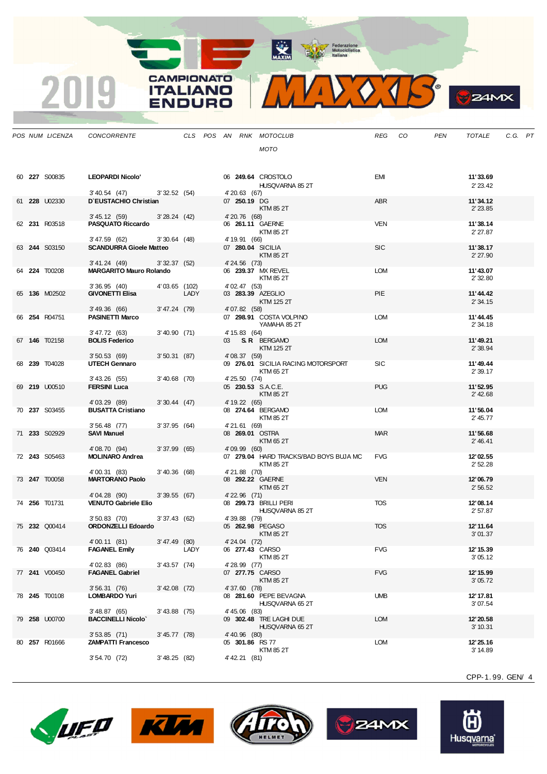**ANTIQUE DE EN ENCORECTE DE LA CONSTANTINA DE LA CONSTANTINA DE LA CONSTANTINA DE LA CONSTANTINA DE LA CONSTANTINA DE LA CONSTANTINA DE LA CONSTANTINA DE LA CONSTANTINA DE LA CONSTANTINA DE LA CONSTANTINA DE LA CONSTANTINA** 

**CAMPIONATO** 

**ITALIANO** 

2019



| 24MX |
|------|
|      |

|  | POS NUM LICENZA | CONCORRENTE                                 |                 |      |  |                               | CLS POS AN RNK MOTOCLUB                             | REG        | CO | PEN | TOTALE               | C.G. PT |  |
|--|-----------------|---------------------------------------------|-----------------|------|--|-------------------------------|-----------------------------------------------------|------------|----|-----|----------------------|---------|--|
|  |                 |                                             |                 |      |  |                               | <b>MOTO</b>                                         |            |    |     |                      |         |  |
|  |                 |                                             |                 |      |  |                               |                                                     |            |    |     |                      |         |  |
|  | 60 227 S00835   | <b>LEOPARDI Nicolo'</b>                     |                 |      |  |                               | 06 249.64 CROSTOLO<br>HUSQVARNA 85 2T               | EMI        |    |     | 11'33.69<br>2' 23.42 |         |  |
|  | 61 228 U02330   | 3' 40.54 (47)<br>D'EUSTACHIO Christian      | 3'32.52(54)     |      |  | 4' 20.63 (67)<br>07 250.19 DG | KTM 85 2T                                           | ABR        |    |     | 11'34.12<br>2' 23.85 |         |  |
|  |                 | 3' 45.12 (59)                               | 3'28.24(42)     |      |  | 4' 20.76 (68)                 |                                                     |            |    |     |                      |         |  |
|  | 62 231 R03518   | <b>PASQUATO Riccardo</b><br>3' 47.59 (62)   | $3'30.64$ (48)  |      |  | 4' 19.91 (66)                 | 06 261.11 GAERNE<br>KTM 85 2T                       | VEN        |    |     | 11'38.14<br>2' 27.87 |         |  |
|  | 63 244 S03150   | <b>SCANDURRA Gioele Matteo</b>              |                 |      |  |                               | 07 280.04 SICILIA<br>KTM 85 2T                      | <b>SIC</b> |    |     | 11'38.17<br>2'27.90  |         |  |
|  |                 | 3' 41.24 (49)                               | 3'32.37(52)     |      |  | 4' 24.56 (73)                 |                                                     |            |    |     |                      |         |  |
|  | 64 224 T00208   | <b>MARGARITO Mauro Rolando</b>              |                 |      |  |                               | 06 239.37 MX REVEL<br>KTM 85 2T                     | <b>LOM</b> |    |     | 11'43.07<br>2'32.80  |         |  |
|  | 65 136 M02502   | 3'36.95(40)<br><b>GIVONETTI Elisa</b>       | 4'03.65 (102)   | LADY |  | 4' 02.47 (53)                 | 03 283.39 AZEGLIO                                   | PIE        |    |     | 11'44.42             |         |  |
|  |                 | 3'49.36 (66)                                | 3' 47.24 (79)   |      |  | 4'07.82 (58)                  | KTM 125 2T                                          |            |    |     | 2'34.15              |         |  |
|  | 66 254 R04751   | <b>PASINETTI Marco</b>                      |                 |      |  |                               | 07 298.91 COSTA VOLPINO<br>YAMAHA 85 2T             | <b>LOM</b> |    |     | 11'44.45<br>2'34.18  |         |  |
|  | 67 146 T02158   | 3'47.72 (63)<br><b>BOLIS Federico</b>       | 3'40.90(71)     |      |  | 4' 15.83 (64)                 | 03 S.R BERGAMO                                      | <b>LOM</b> |    |     | 11'49.21             |         |  |
|  |                 | 3'50.53(69)                                 | 3'50.31(87)     |      |  | 4' 08.37 (59)                 | KTM 125 2T                                          |            |    |     | 2' 38.94             |         |  |
|  | 68 239 T04028   | <b>UTECH Gennaro</b>                        |                 |      |  |                               | 09 276.01 SICILIA RACING MOTORSPORT<br>KTM 65 2T    | <b>SIC</b> |    |     | 11'49.44<br>2'39.17  |         |  |
|  | 69 219 U00510   | 3' 43.26 (55)<br><b>FERSINI Luca</b>        | $3'40.68$ (70)  |      |  | 4'25.50 (74)                  | 05 230.53 S.A.C.E.<br>KTM 85 2T                     | <b>PUG</b> |    |     | 11'52.95<br>2' 42.68 |         |  |
|  |                 | 4'03.29 (89)                                | 3'30.44(47)     |      |  | 4' 19.22 (65)                 |                                                     |            |    |     |                      |         |  |
|  | 70 237 S03455   | <b>BUSATTA Cristiano</b>                    |                 |      |  |                               | 08 274.64 BERGAMO<br>KTM 85 2T                      | <b>LOM</b> |    |     | 11'56.04<br>2' 45.77 |         |  |
|  | 71 233 S02929   | $3'56.48$ (77)<br><b>SAVI Manuel</b>        | 3'37.95(64)     |      |  | 4'21.61 (69)                  | 08 269.01 OSTRA<br>KTM 65 2T                        | <b>MAR</b> |    |     | 11'56.68<br>2' 46.41 |         |  |
|  |                 | 4'08.70 (94)                                | 3'37.99(65)     |      |  | 4'09.99 (60)                  |                                                     |            |    |     |                      |         |  |
|  | 72 243 S05463   | <b>MOLINARO Andrea</b>                      |                 |      |  |                               | 07 279.04 HARD TRACKS/BAD BOYS BUJA MC<br>KTM 85 2T | <b>FVG</b> |    |     | 12'02.55<br>2'52.28  |         |  |
|  | 73 247 T00058   | 4'00.31 (83)<br><b>MARTORANO Paolo</b>      | 3'40.36(68)     |      |  | 4'21.88 (70)                  | 08 292.22 GAERNE<br>KTM 65 2T                       | <b>VEN</b> |    |     | 12'06.79<br>2'56.52  |         |  |
|  |                 | 4'04.28 (90)                                | 3'39.55(67)     |      |  | 4' 22.96 (71)                 |                                                     |            |    |     |                      |         |  |
|  | 74 256 T01731   | <b>VENUTO Gabriele Elio</b>                 |                 |      |  |                               | 08 299.73 BRILLI PERI<br>HUSQVARNA 85 2T            | <b>TOS</b> |    |     | 12'08.14<br>2'57.87  |         |  |
|  | 75 232 Q00414   | $3'50.83$ (70)<br><b>ORDONZELLI Edoardo</b> | 3'37.43(62)     |      |  | 4'39.88 (79)                  | 05 262.98 PEGASO<br>KTM 85 2T                       | <b>TOS</b> |    |     | 12' 11.64<br>3'01.37 |         |  |
|  |                 | 4'00.11 (81) 3'47.49 (80)                   |                 |      |  | 4' 24.04 (72)                 |                                                     |            |    |     |                      |         |  |
|  | 76 240 Q03414   | <b>FAGANEL Emily</b>                        |                 | LADY |  |                               | 06 277.43 CARSO<br>KTM 85 2T                        | <b>FVG</b> |    |     | 12' 15.39<br>3'05.12 |         |  |
|  | 77 241 V00450   | 4'02.83 (86)<br><b>FAGANEL Gabriel</b>      | $3'$ 43.57 (74) |      |  | 4' 28.99 (77)                 | 07 277.75 CARSO<br><b>KTM 85 2T</b>                 | <b>FVG</b> |    |     | 12' 15.99<br>3'05.72 |         |  |
|  |                 | 3'56.31(76)                                 | 3' 42.08 (72)   |      |  | 4'37.60 (78)                  |                                                     |            |    |     |                      |         |  |
|  | 78 245 T00108   | <b>LOMBARDO Yuri</b>                        |                 |      |  |                               | 08 281.60 PEPE BEVAGNA<br>HUSQVARNA 65 2T           | <b>UMB</b> |    |     | 12' 17.81<br>3'07.54 |         |  |
|  | 79 258 U00700   | 3'48.87(65)<br><b>BACCINELLI Nicolo</b>     | 3'43.88 (75)    |      |  | 4' 45.06 (83)                 | 09 302.48 TRE LAGHI DUE<br>HUSQVARNA 65 2T          | <b>LOM</b> |    |     | 12'20.58<br>3' 10.31 |         |  |
|  |                 | $3'53.85$ (71)                              | $3'45.77$ (78)  |      |  | 4' 40.96 (80)                 |                                                     |            |    |     |                      |         |  |
|  | 80 257 R01666   | <b>ZAMPATTI Francesco</b>                   |                 |      |  | 05 301.86 RS 77               | KTM 85 2T                                           | LOM        |    |     | 12'25.16<br>3' 14.89 |         |  |
|  |                 | 3'54.70(72)                                 | 3'48.25(82)     |      |  | 4' 42.21 (81)                 |                                                     |            |    |     |                      |         |  |









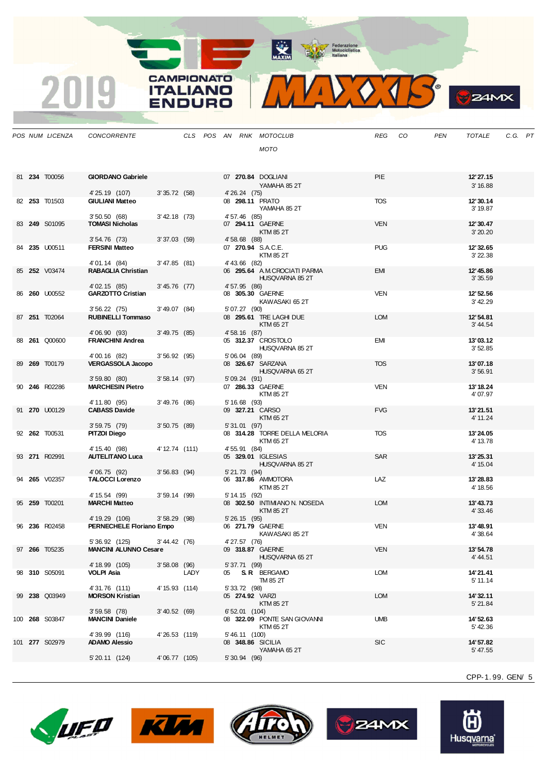MAXIM Pederazione

CAMPIONATO

**ITALIANO** 

**ENDURO** 

2019

MAXXXIS

**B**Z4MX

|  | POS NUM LICENZA      | CONCORRENTE                               |                |      |  |                | CLS POS AN RNK MOTOCLUB                           | REG        | CO | PEN | <b>TOTALE</b>         | C.G. PT |  |
|--|----------------------|-------------------------------------------|----------------|------|--|----------------|---------------------------------------------------|------------|----|-----|-----------------------|---------|--|
|  |                      |                                           |                |      |  |                | MOTO                                              |            |    |     |                       |         |  |
|  |                      |                                           |                |      |  |                |                                                   |            |    |     |                       |         |  |
|  |                      |                                           |                |      |  |                |                                                   | PIE        |    |     |                       |         |  |
|  | 81 234 T00056        | <b>GIORDANO Gabriele</b>                  |                |      |  |                | 07 270.84 DOGLIANI<br>YAMAHA 852T                 |            |    |     | 12' 27.15<br>3' 16.88 |         |  |
|  |                      | 4'25.19 (107)                             | 3'35.72(58)    |      |  | 4' 26.24 (75)  |                                                   |            |    |     |                       |         |  |
|  | 82 253 T01503        | <b>GIULIANI Matteo</b>                    |                |      |  |                | 08 298.11 PRATO<br>YAMAHA 85 2T                   | <b>TOS</b> |    |     | 12'30.14<br>3' 19.87  |         |  |
|  |                      | 3'50.50(68)                               | 3' 42.18 (73)  |      |  | 4' 57.46 (85)  |                                                   |            |    |     |                       |         |  |
|  | 83 249 S01095        | <b>TOMASI Nicholas</b>                    |                |      |  |                | 07 294.11 GAERNE                                  | <b>VEN</b> |    |     | 12'30.47              |         |  |
|  |                      | $3'54.76$ (73)                            | 3'37.03(59)    |      |  | 4' 58.68 (88)  | KTM 85 2T                                         |            |    |     | 3'20.20               |         |  |
|  | 84 235 U00511        | <b>FERSINI Matteo</b>                     |                |      |  |                | 07 270.94 S.A.C.E.                                | <b>PUG</b> |    |     | 12'32.65              |         |  |
|  |                      | 4'01.14 (84)                              | 3'47.85(81)    |      |  | 4' 43.66 (82)  | KTM 85 2T                                         |            |    |     | 3'22.38               |         |  |
|  | 85 252 V03474        | <b>RABAGLIA Christian</b>                 |                |      |  |                | 06 295.64 A.M.CROCIATI PARMA                      | <b>EMI</b> |    |     | 12'45.86              |         |  |
|  |                      |                                           |                |      |  |                | HUSQVARNA 85 2T                                   |            |    |     | 3'35.59               |         |  |
|  | 86 260 U00552        | 4' 02.15 (85)<br><b>GARZOTTO Cristian</b> | $3'45.76$ (77) |      |  | 4' 57.95 (86)  | 08 305.30 GAERNE                                  | <b>VEN</b> |    |     | 12' 52.56             |         |  |
|  |                      |                                           |                |      |  |                | KAWASAKI 65 2T                                    |            |    |     | 3' 42.29              |         |  |
|  | 87 251 T02064        | 3'56.22(75)<br><b>RUBINELLI Tommaso</b>   | $3'49.07$ (84) |      |  | 5' 07.27 (90)  | 08 295.61 TRE LAGHI DUE                           | <b>LOM</b> |    |     | 12'54.81              |         |  |
|  |                      |                                           |                |      |  |                | KTM 65 2T                                         |            |    |     | 3' 44.54              |         |  |
|  |                      | 4'06.90 (93)                              | 3'49.75(85)    |      |  | 4' 58.16 (87)  |                                                   |            |    |     |                       |         |  |
|  | 88 261 Q00600        | <b>FRANCHINI Andrea</b>                   |                |      |  |                | 05 312.37 CROSTOLO<br>HUSQVARNA 85 2T             | EMI        |    |     | 13'03.12<br>3'52.85   |         |  |
|  |                      | 4'00.16 (82)                              | 3'56.92(95)    |      |  | 5'06.04 (89)   |                                                   |            |    |     |                       |         |  |
|  | 89 269 T00179        | <b>VERGASSOLA Jacopo</b>                  |                |      |  |                | 08 326.67 SARZANA<br>HUSQVARNA 65 2T              | <b>TOS</b> |    |     | 13'07.18<br>3'56.91   |         |  |
|  |                      | 3'59.80(80)                               | 3'58.14(97)    |      |  | 5'09.24(91)    |                                                   |            |    |     |                       |         |  |
|  | 90 246 R02286        | <b>MARCHESIN Pietro</b>                   |                |      |  |                | 07 286.33 GAERNE                                  | VEN        |    |     | 13'18.24              |         |  |
|  |                      | 4' 11.80 (95)                             | 3'49.76(86)    |      |  | $5'16.68$ (93) | KTM 85 2T                                         |            |    |     | 4'07.97               |         |  |
|  | 91 270 U00129        | <b>CABASS Davide</b>                      |                |      |  |                | 09 327.21 CARSO                                   | <b>FVG</b> |    |     | 13'21.51              |         |  |
|  |                      | $3'59.75$ (79)                            | $3'50.75$ (89) |      |  | 5' 31.01 (97)  | KTM 65 2T                                         |            |    |     | 4' 11.24              |         |  |
|  | 92 262 T00531        | PITZOI Diego                              |                |      |  |                | 08 314.28 TORRE DELLA MELORIA                     | <b>TOS</b> |    |     | 13'24.05              |         |  |
|  |                      |                                           |                |      |  |                | KTM 65 2T                                         |            |    |     | 4' 13.78              |         |  |
|  | 93 271 R02991        | 4' 15.40 (98)<br><b>AUTELITANO Luca</b>   | 4' 12.74 (111) |      |  | 4' 55.91 (84)  | 05 329.01 IGLESIAS                                | <b>SAR</b> |    |     | 13'25.31              |         |  |
|  |                      |                                           |                |      |  |                | HUSQVARNA 85 2T                                   |            |    |     | 4' 15.04              |         |  |
|  | 94 265 V02357        | 4'06.75 (92)<br><b>TALOCCI Lorenzo</b>    | $3'56.83$ (94) |      |  | 5' 21.73 (94)  | 06 317.86 AMMOTORA                                | LAZ        |    |     | 13'28.83              |         |  |
|  |                      |                                           |                |      |  |                | KTM 85 2T                                         |            |    |     | 4' 18.56              |         |  |
|  |                      | 4' 15.54 (99)                             | 3'59.14(99)    |      |  | 5' 14.15 (92)  |                                                   |            |    |     |                       |         |  |
|  | 95 259 T00201        | <b>MARCHI Matteo</b>                      |                |      |  |                | 08 302.50 INTIMIANO N. NOSEDA<br><b>KTM 85 2T</b> | LOM        |    |     | 13'43.73<br>4' 33.46  |         |  |
|  |                      | 4' 19.29 (106)                            | $3'58.29$ (98) |      |  | 5' 26.15 (95)  |                                                   |            |    |     |                       |         |  |
|  | 96 236 R02458        | PERNECHELE Floriano Empo                  |                |      |  |                | 06 271.79 GAERNE<br>KAWASAKI 85 2T                | <b>VEN</b> |    |     | 13'48.91<br>4'38.64   |         |  |
|  |                      | 5' 36.92 (125)                            | 3' 44.42 (76)  |      |  | 4'27.57 (76)   |                                                   |            |    |     |                       |         |  |
|  | 97 <b>266</b> T05235 | <b>MANCINI ALUNNO Cesare</b>              |                |      |  |                | 09 318.87 GAERNE<br>HUSQVARNA 65 2T               | VEN        |    |     | 13'54.78              |         |  |
|  |                      | 4' 18.99 (105)                            | $3'58.08$ (96) |      |  | 5' 37.71 (99)  |                                                   |            |    |     | 4' 44.51              |         |  |
|  | 98 310 S05091        | <b>VOLPI Asia</b>                         |                | LADY |  |                | 05 S.R. BERGAMO                                   | LOM        |    |     | 14' 21.41             |         |  |
|  |                      | 4'31.76 (111)                             | 4' 15.93 (114) |      |  | 5' 33.72 (98)  | TM 85 2T                                          |            |    |     | 5' 11.14              |         |  |
|  | 99 238 Q03949        | <b>MORSON Kristian</b>                    |                |      |  |                | 05 274.92 VARZI                                   | LOM        |    |     | 14' 32.11             |         |  |
|  |                      | 3'59.58(78)                               | 3' 40.52 (69)  |      |  | 6'52.01(104)   | KTM 85 2T                                         |            |    |     | 5' 21.84              |         |  |
|  | 100 268 S03847       | <b>MANCINI Daniele</b>                    |                |      |  |                | 08 322.09 PONTE SAN GIOVANNI                      | <b>UMB</b> |    |     | 14' 52.63             |         |  |
|  |                      |                                           |                |      |  |                | KTM 65 2T                                         |            |    |     | 5' 42.36              |         |  |
|  | 101 277 S02979       | 4'39.99 (116)<br><b>ADAMO Alessio</b>     | 4'26.53 (119)  |      |  | 5' 46.11 (100) | 08 348.86 SICILIA                                 | <b>SIC</b> |    |     | 14' 57.82             |         |  |
|  |                      |                                           |                |      |  |                | YAMAHA 65 2T                                      |            |    |     | 5' 47.55              |         |  |
|  |                      | 5' 20.11 (124)                            | 4' 06.77 (105) |      |  | 5' 30.94 (96)  |                                                   |            |    |     |                       |         |  |
|  |                      |                                           |                |      |  |                |                                                   |            |    |     | CPP-1.99. GEN 5       |         |  |
|  |                      |                                           |                |      |  |                |                                                   |            |    |     |                       |         |  |









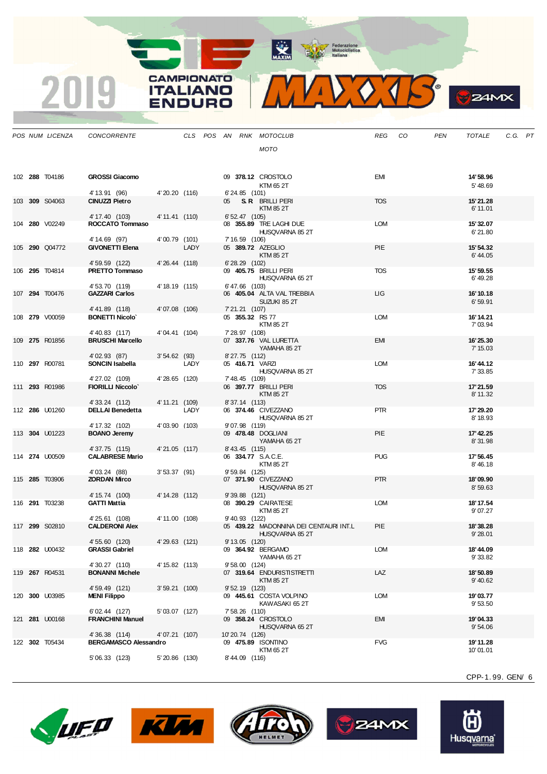MAXIM BOOR Motociclistica



| $\sim$<br>2 D<br>r |
|--------------------|
|                    |

|  | POS NUM LICENZA       | <b>CONCORRENTE</b>                       |                 |      |    |                    | CLS POS AN RNK MOTOCLUB                                   | <b>REG</b> | CO | <b>PEN</b> | <b>TOTALE</b>         | C.G. PT |  |
|--|-----------------------|------------------------------------------|-----------------|------|----|--------------------|-----------------------------------------------------------|------------|----|------------|-----------------------|---------|--|
|  |                       |                                          |                 |      |    |                    | <b>MOTO</b>                                               |            |    |            |                       |         |  |
|  |                       |                                          |                 |      |    |                    |                                                           |            |    |            |                       |         |  |
|  | 102 288 T04186        | <b>GROSSI Giacomo</b>                    |                 |      |    |                    | 09 378.12 CROSTOLO                                        | EMI        |    |            | 14'58.96              |         |  |
|  |                       |                                          |                 |      |    |                    | KTM 65 2T                                                 |            |    |            | 5' 48.69              |         |  |
|  | 103 309 S04063        | 4' 13.91 (96)<br>CINUZZI Pietro          | 4'20.20 (116)   |      | 05 | 6'24.85 (101)      | <b>S. R</b> BRILLI PERI                                   | <b>TOS</b> |    |            | 15'21.28              |         |  |
|  |                       |                                          |                 |      |    |                    | KTM 85 2T                                                 |            |    |            | 6' 11.01              |         |  |
|  |                       | 4' 17.40 (103)                           | 4' 11.41 (110)  |      |    | 6' 52.47 (105)     |                                                           |            |    |            |                       |         |  |
|  | 104 280 V02249        | ROCCATO Tommaso                          |                 |      |    |                    | 08 355.89 TRE LAGHI DUE<br>HUSQVARNA 85 2T                | <b>LOM</b> |    |            | 15'32.07<br>6'21.80   |         |  |
|  |                       | 4' 14.69 (97)                            | 4'00.79 (101)   |      |    | 7' 16.59 (106)     |                                                           |            |    |            |                       |         |  |
|  | 105 290 Q04772        | <b>GIVONETTI Elena</b>                   |                 | LADY |    |                    | 05 389.72 AZEGLIO<br><b>KTM 85 2T</b>                     | PIE        |    |            | 15' 54.32<br>6'44.05  |         |  |
|  |                       | 4' 59.59 (122)                           | 4'26.44 (118)   |      |    | $6'$ 28.29 $(102)$ |                                                           |            |    |            |                       |         |  |
|  | 106 295 T04814        | <b>PRETTO Tommaso</b>                    |                 |      |    |                    | 09 405.75 BRILLI PERI<br>HUSQVARNA 65 2T                  | <b>TOS</b> |    |            | 15' 59.55<br>6' 49.28 |         |  |
|  |                       | 4' 53.70 (119)                           | 4' 18.19 (115)  |      |    | $6' 47.66$ (103)   |                                                           |            |    |            |                       |         |  |
|  | 107 294 T00476        | <b>GAZZARI Carlos</b>                    |                 |      |    |                    | 06 405.04 ALTA VAL TREBBIA<br>SUZUKI 85 2T                | LIG        |    |            | 16'10.18<br>6'59.91   |         |  |
|  |                       | 4'41.89 (118)                            | 4'07.08 (106)   |      |    | 7' 21.21 (107)     |                                                           |            |    |            |                       |         |  |
|  | 108 <b>279</b> V00059 | <b>BONETTI Nicolo</b>                    |                 |      |    |                    | 05 355.32 RS 77                                           | <b>LOM</b> |    |            | 16' 14.21             |         |  |
|  |                       | 4'40.83 (117)                            | 4'04.41 (104)   |      |    | 7' 28.97 (108)     | KTM 85 2T                                                 |            |    |            | 7'03.94               |         |  |
|  | 109 275 R01856        | <b>BRUSCHI Marcello</b>                  |                 |      |    |                    | 07 337.76 VAL LURETTA                                     | <b>EMI</b> |    |            | 16'25.30              |         |  |
|  |                       | 4'02.93 (87)                             | 3'54.62(93)     |      |    | 8'27.75 (112)      | YAMAHA 85 2T                                              |            |    |            | 7' 15.03              |         |  |
|  | 110 297 R00781        | <b>SONCIN Isabella</b>                   |                 | LADY |    |                    | 05 416.71 VARZI                                           | <b>LOM</b> |    |            | 16'44.12              |         |  |
|  |                       | 4'27.02 (109)                            | 4'28.65 (120)   |      |    | 7' 48.45 (109)     | HUSQVARNA 85 2T                                           |            |    |            | 7' 33.85              |         |  |
|  | 111 293 R01986        | <b>FIORILLI Niccolo'</b>                 |                 |      |    |                    | 06 397.77 BRILLI PERI                                     | <b>TOS</b> |    |            | 17' 21.59             |         |  |
|  |                       |                                          |                 |      |    |                    | KTM 85 2T                                                 |            |    |            | 8'11.32               |         |  |
|  | 112 286 U01260        | 4'33.24 (112)<br><b>DELLAI Benedetta</b> | 4' 11.21 (109)  | LADY |    | 8'37.14 (113)      | 06 374.46 CIVEZZANO                                       | <b>PTR</b> |    |            | 17'29.20              |         |  |
|  |                       |                                          |                 |      |    |                    | HUSQVARNA 85 2T                                           |            |    |            | 8' 18.93              |         |  |
|  | 113 304 U01223        | 4' 17.32 (102)<br><b>BOANO Jeremy</b>    | 4'03.90 (103)   |      |    | 9'07.98 (119)      | 09 478.48 DOGLIANI                                        | PIE        |    |            | 17' 42.25             |         |  |
|  |                       |                                          |                 |      |    |                    | YAMAHA 652T                                               |            |    |            | 8'31.98               |         |  |
|  | 114 <b>274 U00509</b> | 4'37.75 (115)<br><b>CALABRESE Mario</b>  | 4'21.05 (117)   |      |    | 8' 43.45 (115)     | 06 334.77 S.A.C.E.                                        | <b>PUG</b> |    |            | 17' 56.45             |         |  |
|  |                       |                                          |                 |      |    |                    | KTM 85 2T                                                 |            |    |            | 8' 46.18              |         |  |
|  | 115 285 T03906        | 4' 03.24 (88)<br>ZORDAN Mirco            | 3'53.37(91)     |      |    | 9' 59.84 (125)     | 07 371.90 CIVEZZANO                                       | <b>PTR</b> |    |            | 18'09.90              |         |  |
|  |                       |                                          |                 |      |    |                    | HUSQVARNA 85 2T                                           |            |    |            | 8'59.63               |         |  |
|  |                       | 4' 15.74 (100)                           | 4' 14.28 (112)  |      |    | $9'39.88$ (121)    |                                                           | <b>LOM</b> |    |            |                       |         |  |
|  | 116 291 T03238        | <b>GATTI Mattia</b>                      |                 |      |    |                    | 08 390.29 CAIRATESE<br>KTM 85 2T                          |            |    |            | 18' 17.54<br>9'07.27  |         |  |
|  |                       | 4'25.61 (108)                            | 4' 11.00 (108)  |      |    | 9' 40.93 (122)     |                                                           |            |    |            |                       |         |  |
|  | 117 299 S02810        | <b>CALDERONI Alex</b>                    |                 |      |    |                    | 05 439.22 MADONNINA DEI CENTAURI INT.L<br>HUSQVARNA 85 2T | PIE        |    |            | 18'38.28<br>9'28.01   |         |  |
|  |                       | 4' 55.60 (120)                           | 4'29.63 (121)   |      |    |                    | 9' 13.05 (120)                                            |            |    |            |                       |         |  |
|  | 118 282 U00432        | <b>GRASSI Gabriel</b>                    |                 |      |    |                    | 09 364.92 BERGAMO<br>YAMAHA 65 2T                         | <b>LOM</b> |    |            | 18'44.09<br>9'33.82   |         |  |
|  |                       | 4'30.27 (110)                            | 4' 15.82 (113)  |      |    | $9'58.00$ (124)    |                                                           |            |    |            |                       |         |  |
|  | 119 267 R04531        | <b>BONANNI Michele</b>                   |                 |      |    |                    | 07 319.64 ENDURISTISTRETTI<br>KTM 85 2T                   | LAZ        |    |            | 18'50.89<br>9' 40.62  |         |  |
|  |                       | 4' 59.49 (121)                           | $3'59.21$ (100) |      |    | $9'52.19$ (123)    |                                                           |            |    |            |                       |         |  |
|  | 120 300 U03985        | <b>MENI Filippo</b>                      |                 |      |    |                    | 09 445.61 COSTA VOLPINO<br>KAWASAKI 65 2T                 | <b>LOM</b> |    |            | 19'03.77<br>9'53.50   |         |  |
|  |                       | 6'02.44 (127)                            | 5'03.07 (127)   |      |    | 7' 58.26 (110)     |                                                           |            |    |            |                       |         |  |
|  | 121 281 U00168        | <b>FRANCHINI Manuel</b>                  |                 |      |    |                    | 09 358.24 CROSTOLO<br>HUSQVARNA 65 2T                     | EMI        |    |            | 19'04.33              |         |  |
|  |                       | 4'36.38 (114)                            | 4'07.21 (107)   |      |    | 10'20.74 (126)     |                                                           |            |    |            | 9'54.06               |         |  |
|  | 122 302 T05434        | <b>BERGAMASCO Alessandro</b>             |                 |      |    |                    | 09 475.89 ISONTINO                                        | <b>FVG</b> |    |            | 19'11.28              |         |  |
|  |                       | 5' 06.33 (123)                           | 5' 20.86 (130)  |      |    | 8'44.09 (116)      | KTM 65 2T                                                 |            |    |            | 10'01.01              |         |  |
|  |                       |                                          |                 |      |    |                    |                                                           |            |    |            |                       |         |  |

**CAMPIONATO** 

**ITALIANO ENDURO** 

2019